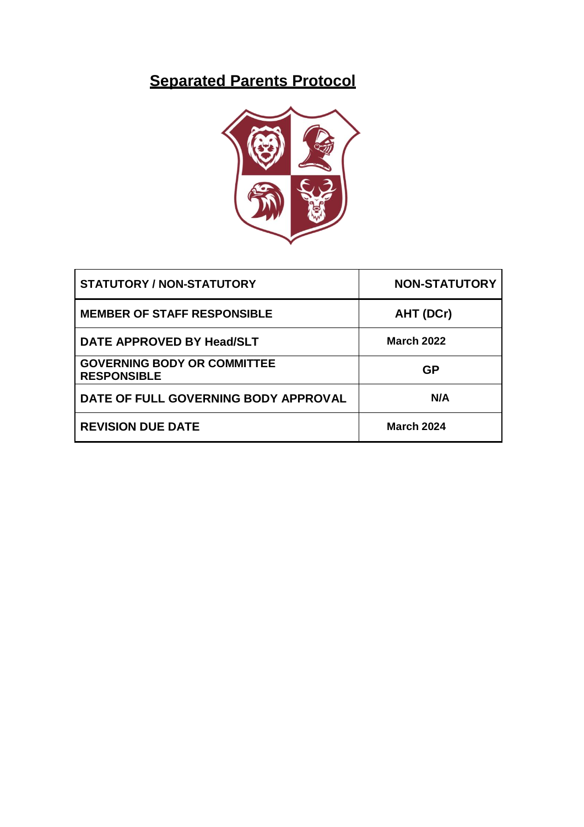## **Separated Parents Protocol**



| <b>STATUTORY / NON-STATUTORY</b>                         | <b>NON-STATUTORY</b> |
|----------------------------------------------------------|----------------------|
| <b>MEMBER OF STAFF RESPONSIBLE</b>                       | AHT (DCr)            |
| DATE APPROVED BY Head/SLT                                | <b>March 2022</b>    |
| <b>GOVERNING BODY OR COMMITTEE</b><br><b>RESPONSIBLE</b> | <b>GP</b>            |
| DATE OF FULL GOVERNING BODY APPROVAL                     | N/A                  |
| <b>REVISION DUE DATE</b>                                 | <b>March 2024</b>    |